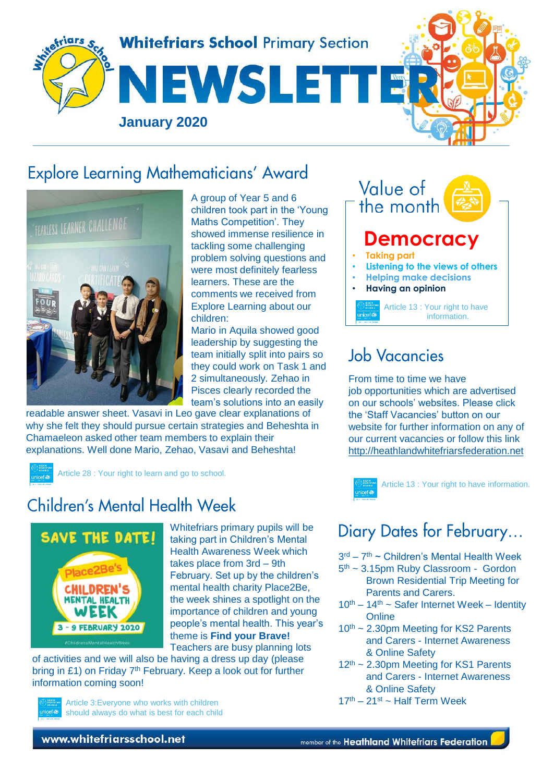

## **Explore Learning Mathematicians' Award**



A group of Year 5 and 6 children took part in the 'Young Maths Competition'. They showed immense resilience in tackling some challenging problem solving questions and were most definitely fearless learners. These are the comments we received from Explore Learning about our children:

Mario in Aquila showed good leadership by suggesting the team initially split into pairs so they could work on Task 1 and 2 simultaneously. Zehao in Pisces clearly recorded the team's solutions into an easily

readable answer sheet. Vasavi in Leo gave clear explanations of why she felt they should pursue certain strategies and Beheshta in Chamaeleon asked other team members to explain their explanations. Well done Mario, Zehao, Vasavi and Beheshta!

Article 28 : Your right to learn and go to school.

## Children's Mental Health Week



Whitefriars primary pupils will be taking part in Children's Mental Health Awareness Week which takes place from 3rd – 9th February. Set up by the children's mental health charity Place2Be, the week shines a spotlight on the importance of children and young people's mental health. This year's theme is **Find your Brave!** Teachers are busy planning lots

of activities and we will also be having a dress up day (please bring in £1) on Friday  $7<sup>th</sup>$  February. Keep a look out for further information coming soon!



Article 3:Everyone who works with children should always do what is best for each child

Value of the month **Democracy** • **Taking part** • **Listening to the views of others** • **Helping make decisions** • **Having an opinion** Article 13 : Your right to have information.

## **Job Vacancies**

From time to time we have job opportunities which are advertised on our schools' websites. Please click the 'Staff Vacancies' button on our website for further information on any of our current vacancies or follow this link [http://heathlandwhitefriarsfederation.net](http://heathlandwhitefriarsfederation.net/)



Article 13 : Your right to have information.

# Diary Dates for February...

3<sup>rd</sup> – 7<sup>th</sup> ~ Children's Mental Health Week

- 5 th ~ 3.15pm Ruby Classroom Gordon Brown Residential Trip Meeting for Parents and Carers.
- $10^{th} 14^{th}$  ~ Safer Internet Week Identity **Online**
- $10<sup>th</sup>$  ~ 2.30pm Meeting for KS2 Parents and Carers - Internet Awareness & Online Safety
- 12<sup>th</sup> ~ 2.30pm Meeting for KS1 Parents and Carers - Internet Awareness & Online Safety
- $17<sup>th</sup> 21<sup>st</sup>$  ~ Half Term Week

www.whitefriarsschool.net